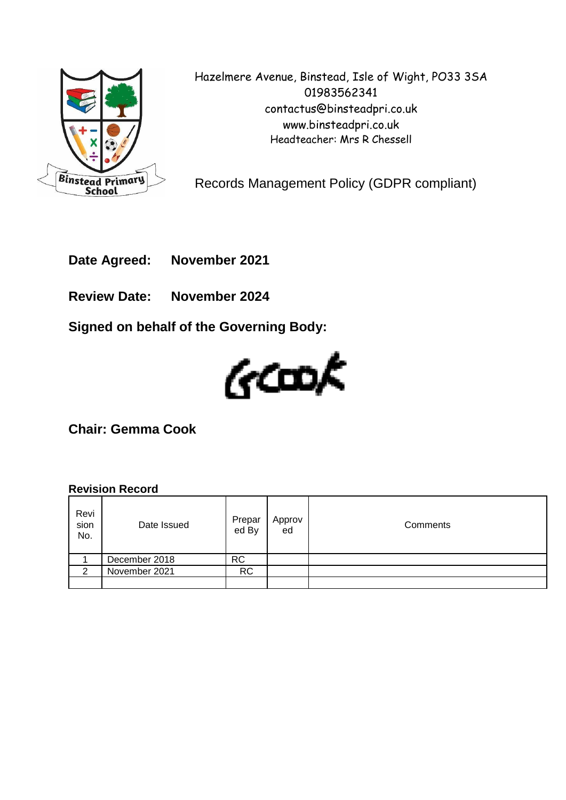

Hazelmere Avenue, Binstead, Isle of Wight, PO33 3SA 01983562341 contactus@binsteadpri.co.uk www.binsteadpri.co.uk Headteacher: Mrs R Chessell

Records Management Policy (GDPR compliant)

**Date Agreed: November 2021**

**Review Date: November 2024**

**Signed on behalf of the Governing Body:**



**Chair: Gemma Cook**

#### **Revision Record**

| Revi<br>sion<br>No. | Date Issued   | Prepar<br>ed By | Approv<br>ed | Comments |
|---------------------|---------------|-----------------|--------------|----------|
|                     | December 2018 | <b>RC</b>       |              |          |
| $\mathcal{P}$       | November 2021 | <b>RC</b>       |              |          |
|                     |               |                 |              |          |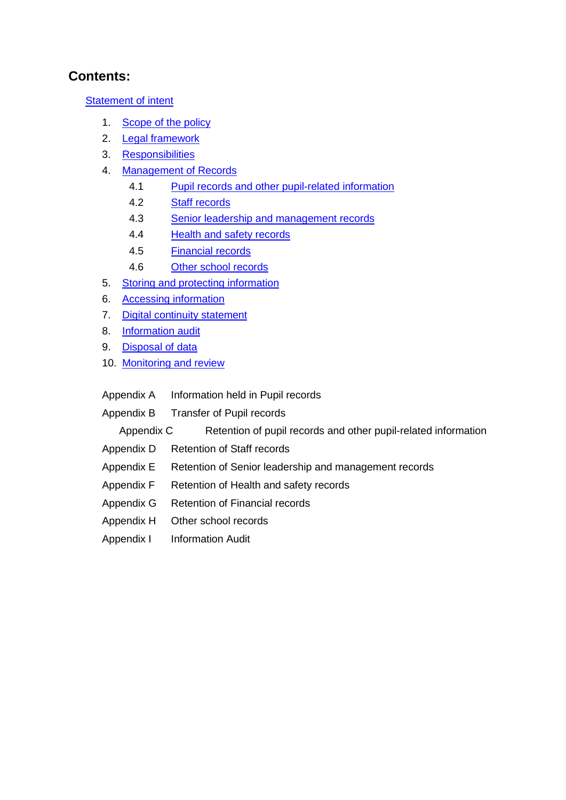### **Contents:**

**[Statement of intent](#page-2-0)** 

- 1. Scope of the policy
- 2. [Legal framework](#page-3-0)
- 3. [Responsibilities](#page-3-1)
- 4. [Management of Records](#page-4-0)
	- 4.1 [Pupil records and other pupil-related information](#page-7-0)
	- 4.2 [Staff records](#page-16-0)
	- 4.3 [Senior leadership and management records](#page-18-0)
	- 4.4 [Health and safety records](#page-20-0)
	- 4.5 [Financial records](#page-21-0)
	- 4.6 [Other school records](#page-23-0)
- 5. Storing and protecting information
- 6. Accessing information
- 7. Digital continuity statement
- 8. Information audit
- 9. Disposal of data
- 10. Monitoring and review
- Appendix A Information held in Pupil records
- Appendix B Transfer of Pupil records

Appendix C Retention of pupil records and other pupil-related information

- Appendix D Retention of Staff records
- Appendix E Retention of [Senior leadership and management records](#page-18-0)
- Appendix F Retention of [Health and safety records](#page-20-0)
- Appendix G Retention of [Financial records](#page-21-0)
- Appendix H [Other school records](#page-23-0)
- Appendix I Information Audit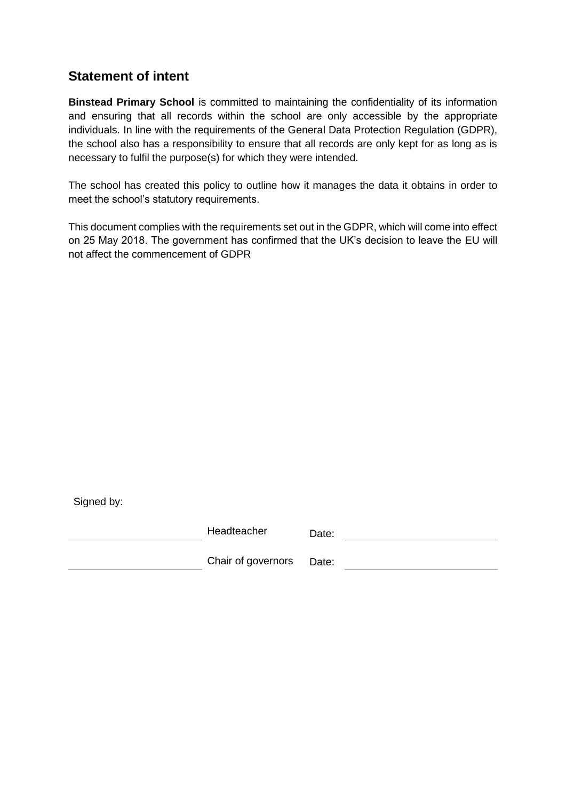### <span id="page-2-0"></span>**Statement of intent**

**Binstead Primary School** is committed to maintaining the confidentiality of its information and ensuring that all records within the school are only accessible by the appropriate individuals. In line with the requirements of the General Data Protection Regulation (GDPR), the school also has a responsibility to ensure that all records are only kept for as long as is necessary to fulfil the purpose(s) for which they were intended.

The school has created this policy to outline how it manages the data it obtains in order to meet the school's statutory requirements.

This document complies with the requirements set out in the GDPR, which will come into effect on 25 May 2018. The government has confirmed that the UK's decision to leave the EU will not affect the commencement of GDPR

| Signed by: |                    |       |
|------------|--------------------|-------|
|            | Headteacher        | Date: |
|            | Chair of governors | Date: |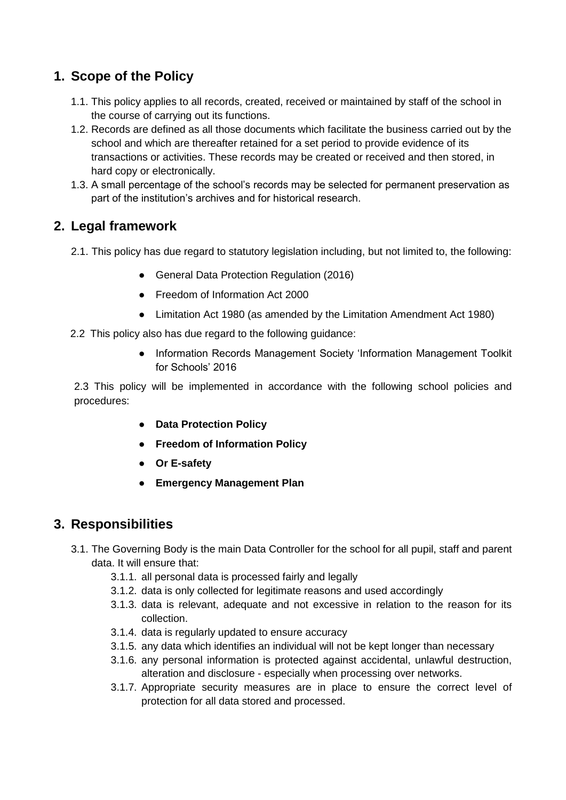## **1. Scope of the Policy**

- 1.1. This policy applies to all records, created, received or maintained by staff of the school in the course of carrying out its functions.
- 1.2. Records are defined as all those documents which facilitate the business carried out by the school and which are thereafter retained for a set period to provide evidence of its transactions or activities. These records may be created or received and then stored, in hard copy or electronically.
- 1.3. A small percentage of the school's records may be selected for permanent preservation as part of the institution's archives and for historical research.

### <span id="page-3-0"></span>**2. Legal framework**

- 2.1. This policy has due regard to statutory legislation including, but not limited to, the following:
	- General Data Protection Regulation (2016)
	- Freedom of Information Act 2000
	- Limitation Act 1980 (as amended by the Limitation Amendment Act 1980)
- 2.2 This policy also has due regard to the following guidance:
	- Information Records Management Society 'Information Management Toolkit for Schools' 2016

2.3 This policy will be implemented in accordance with the following school policies and procedures:

- **Data Protection Policy**
- **Freedom of Information Policy**
- **Or E-safety**
- **Emergency Management Plan**

### <span id="page-3-1"></span>**3. Responsibilities**

- 3.1. The Governing Body is the main Data Controller for the school for all pupil, staff and parent data. It will ensure that:
	- 3.1.1. all personal data is processed fairly and legally
	- 3.1.2. data is only collected for legitimate reasons and used accordingly
	- 3.1.3. data is relevant, adequate and not excessive in relation to the reason for its collection.
	- 3.1.4. data is regularly updated to ensure accuracy
	- 3.1.5. any data which identifies an individual will not be kept longer than necessary
	- 3.1.6. any personal information is protected against accidental, unlawful destruction, alteration and disclosure - especially when processing over networks.
	- 3.1.7. Appropriate security measures are in place to ensure the correct level of protection for all data stored and processed.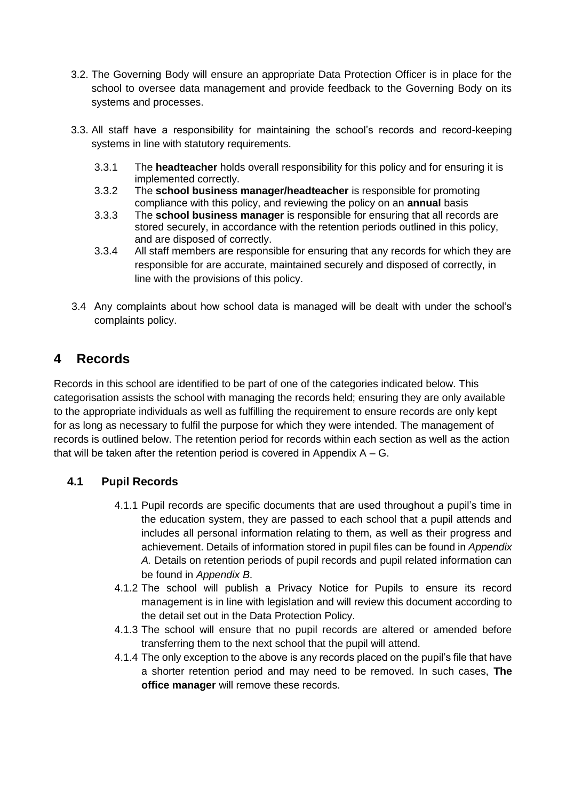- 3.2. The Governing Body will ensure an appropriate Data Protection Officer is in place for the school to oversee data management and provide feedback to the Governing Body on its systems and processes.
- 3.3. All staff have a responsibility for maintaining the school's records and record-keeping systems in line with statutory requirements.
	- 3.3.1 The **headteacher** holds overall responsibility for this policy and for ensuring it is implemented correctly.
	- 3.3.2 The **school business manager/headteacher** is responsible for promoting compliance with this policy, and reviewing the policy on an **annual** basis
	- 3.3.3 The **school business manager** is responsible for ensuring that all records are stored securely, in accordance with the retention periods outlined in this policy, and are disposed of correctly.
	- 3.3.4 All staff members are responsible for ensuring that any records for which they are responsible for are accurate, maintained securely and disposed of correctly, in line with the provisions of this policy.
- 3.4 Any complaints about how school data is managed will be dealt with under the school's complaints policy.

# <span id="page-4-0"></span>**4 Records**

Records in this school are identified to be part of one of the categories indicated below. This categorisation assists the school with managing the records held; ensuring they are only available to the appropriate individuals as well as fulfilling the requirement to ensure records are only kept for as long as necessary to fulfil the purpose for which they were intended. The management of records is outlined below. The retention period for records within each section as well as the action that will be taken after the retention period is covered in Appendix  $A - G$ .

### **4.1 Pupil Records**

- 4.1.1 Pupil records are specific documents that are used throughout a pupil's time in the education system, they are passed to each school that a pupil attends and includes all personal information relating to them, as well as their progress and achievement. Details of information stored in pupil files can be found in *Appendix A.* Details on retention periods of pupil records and pupil related information can be found in *Appendix B*.
- 4.1.2 The school will publish a Privacy Notice for Pupils to ensure its record management is in line with legislation and will review this document according to the detail set out in the Data Protection Policy.
- 4.1.3 The school will ensure that no pupil records are altered or amended before transferring them to the next school that the pupil will attend.
- 4.1.4 The only exception to the above is any records placed on the pupil's file that have a shorter retention period and may need to be removed. In such cases, **The office manager** will remove these records.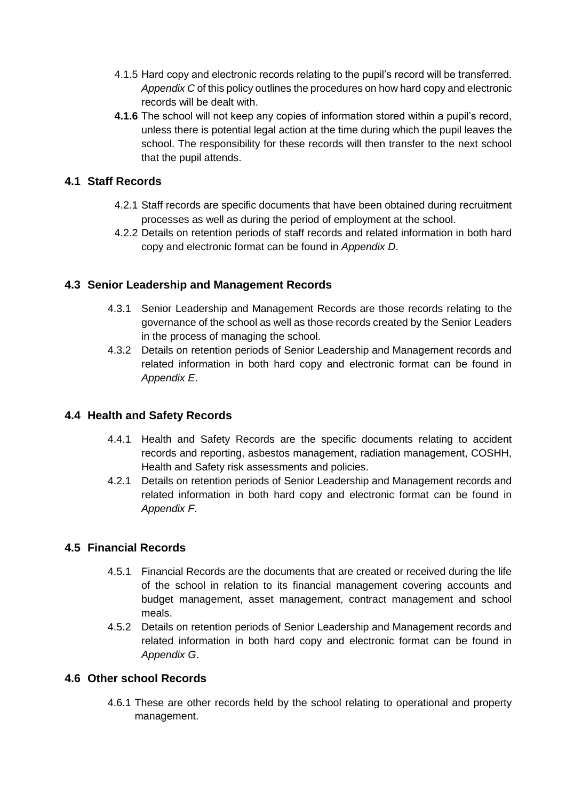- 4.1.5 Hard copy and electronic records relating to the pupil's record will be transferred. *Appendix C* of this policy outlines the procedures on how hard copy and electronic records will be dealt with.
- **4.1.6** The school will not keep any copies of information stored within a pupil's record, unless there is potential legal action at the time during which the pupil leaves the school. The responsibility for these records will then transfer to the next school that the pupil attends.

#### **4.1 Staff Records**

- 4.2.1 Staff records are specific documents that have been obtained during recruitment processes as well as during the period of employment at the school.
- 4.2.2 Details on retention periods of staff records and related information in both hard copy and electronic format can be found in *Appendix D*.

#### **4.3 Senior Leadership and Management Records**

- 4.3.1 Senior Leadership and Management Records are those records relating to the governance of the school as well as those records created by the Senior Leaders in the process of managing the school.
- 4.3.2 Details on retention periods of Senior Leadership and Management records and related information in both hard copy and electronic format can be found in *Appendix E*.

#### **4.4 Health and Safety Records**

- 4.4.1 Health and Safety Records are the specific documents relating to accident records and reporting, asbestos management, radiation management, COSHH, Health and Safety risk assessments and policies.
- 4.2.1 Details on retention periods of Senior Leadership and Management records and related information in both hard copy and electronic format can be found in *Appendix F*.

#### **4.5 Financial Records**

- 4.5.1 Financial Records are the documents that are created or received during the life of the school in relation to its financial management covering accounts and budget management, asset management, contract management and school meals.
- 4.5.2 Details on retention periods of Senior Leadership and Management records and related information in both hard copy and electronic format can be found in *Appendix G*.

#### **4.6 Other school Records**

4.6.1 These are other records held by the school relating to operational and property management.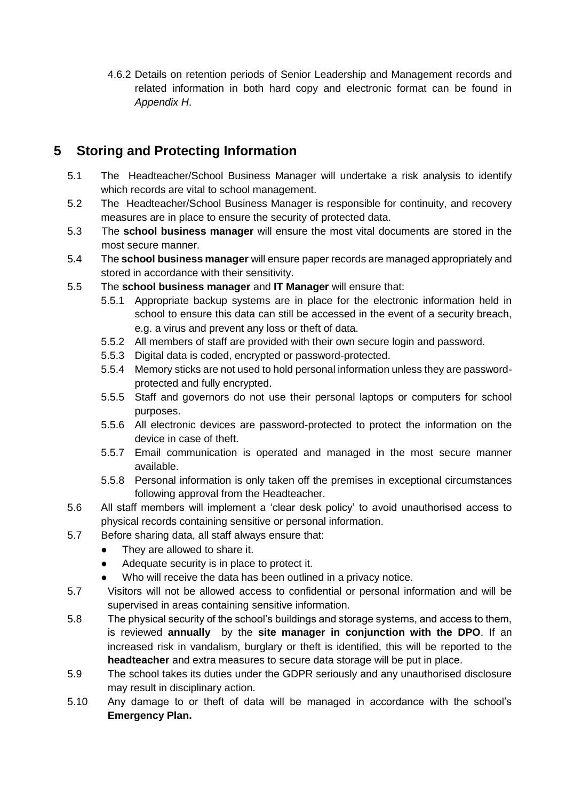4.6.2 Details on retention periods of Senior Leadership and Management records and related information in both hard copy and electronic format can be found in *Appendix H*.

# **5 Storing and Protecting Information**

- 5.1 The Headteacher/School Business Manager will undertake a risk analysis to identify which records are vital to school management.
- 5.2 The Headteacher/School Business Manager is responsible for continuity, and recovery measures are in place to ensure the security of protected data.
- 5.3 The **school business manager** will ensure the most vital documents are stored in the most secure manner.
- 5.4 The **school business manager** will ensure paper records are managed appropriately and stored in accordance with their sensitivity.
- 5.5 The **school business manager** and **IT Manager** will ensure that:
	- 5.5.1 Appropriate backup systems are in place for the electronic information held in school to ensure this data can still be accessed in the event of a security breach, e.g. a virus and prevent any loss or theft of data.
	- 5.5.2 All members of staff are provided with their own secure login and password.
	- 5.5.3 Digital data is coded, encrypted or password-protected.
	- 5.5.4 Memory sticks are not used to hold personal information unless they are passwordprotected and fully encrypted.
	- 5.5.5 Staff and governors do not use their personal laptops or computers for school purposes.
	- 5.5.6 All electronic devices are password-protected to protect the information on the device in case of theft.
	- 5.5.7 Email communication is operated and managed in the most secure manner available.
	- 5.5.8 Personal information is only taken off the premises in exceptional circumstances following approval from the Headteacher.
- 5.6 All staff members will implement a 'clear desk policy' to avoid unauthorised access to physical records containing sensitive or personal information.
- 5.7 Before sharing data, all staff always ensure that:
	- They are allowed to share it.
	- Adequate security is in place to protect it.
	- Who will receive the data has been outlined in a privacy notice.
- 5.7 Visitors will not be allowed access to confidential or personal information and will be supervised in areas containing sensitive information.
- 5.8 The physical security of the school's buildings and storage systems, and access to them, is reviewed **annually** by the **site manager in conjunction with the DPO**. If an increased risk in vandalism, burglary or theft is identified, this will be reported to the **headteacher** and extra measures to secure data storage will be put in place.
- 5.9 The school takes its duties under the GDPR seriously and any unauthorised disclosure may result in disciplinary action.
- 5.10 Any damage to or theft of data will be managed in accordance with the school's **Emergency Plan.**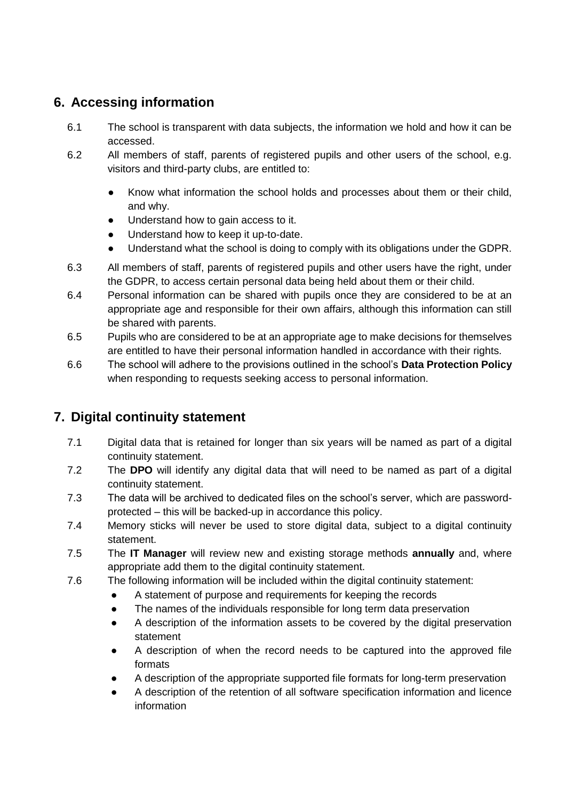## <span id="page-7-0"></span>**6. Accessing information**

- 6.1 The school is transparent with data subjects, the information we hold and how it can be accessed.
- 6.2 All members of staff, parents of registered pupils and other users of the school, e.g. visitors and third-party clubs, are entitled to:
	- Know what information the school holds and processes about them or their child, and why.
	- Understand how to gain access to it.
	- Understand how to keep it up-to-date.
	- Understand what the school is doing to comply with its obligations under the GDPR.
- 6.3 All members of staff, parents of registered pupils and other users have the right, under the GDPR, to access certain personal data being held about them or their child.
- 6.4 Personal information can be shared with pupils once they are considered to be at an appropriate age and responsible for their own affairs, although this information can still be shared with parents.
- 6.5 Pupils who are considered to be at an appropriate age to make decisions for themselves are entitled to have their personal information handled in accordance with their rights.
- 6.6 The school will adhere to the provisions outlined in the school's **Data Protection Policy** when responding to requests seeking access to personal information.

# **7. Digital continuity statement**

- 7.1 Digital data that is retained for longer than six years will be named as part of a digital continuity statement.
- 7.2 The **DPO** will identify any digital data that will need to be named as part of a digital continuity statement.
- 7.3 The data will be archived to dedicated files on the school's server, which are passwordprotected – this will be backed-up in accordance this policy.
- 7.4 Memory sticks will never be used to store digital data, subject to a digital continuity statement.
- 7.5 The **IT Manager** will review new and existing storage methods **annually** and, where appropriate add them to the digital continuity statement.
- 7.6 The following information will be included within the digital continuity statement:
	- A statement of purpose and requirements for keeping the records
		- The names of the individuals responsible for long term data preservation
		- A description of the information assets to be covered by the digital preservation statement
		- A description of when the record needs to be captured into the approved file formats
		- A description of the appropriate supported file formats for long-term preservation
		- A description of the retention of all software specification information and licence information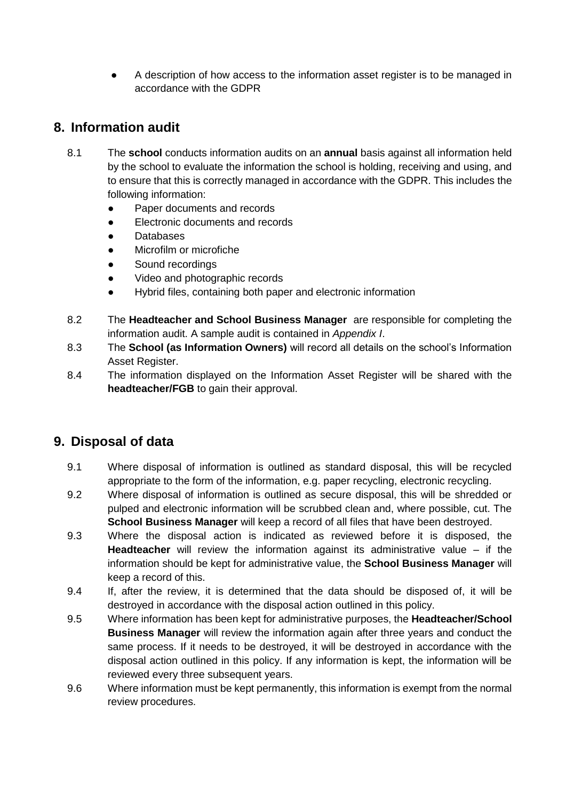A description of how access to the information asset register is to be managed in accordance with the GDPR

### **8. Information audit**

- 8.1 The **school** conducts information audits on an **annual** basis against all information held by the school to evaluate the information the school is holding, receiving and using, and to ensure that this is correctly managed in accordance with the GDPR. This includes the following information:
	- Paper documents and records
	- Electronic documents and records
	- Databases
	- Microfilm or microfiche
	- Sound recordings
	- Video and photographic records
	- Hybrid files, containing both paper and electronic information
- 8.2 The **Headteacher and School Business Manager** are responsible for completing the information audit. A sample audit is contained in *Appendix I*.
- 8.3 The **School (as Information Owners)** will record all details on the school's Information Asset Register.
- 8.4 The information displayed on the Information Asset Register will be shared with the **headteacher/FGB** to gain their approval.

### **9. Disposal of data**

- 9.1 Where disposal of information is outlined as standard disposal, this will be recycled appropriate to the form of the information, e.g. paper recycling, electronic recycling.
- 9.2 Where disposal of information is outlined as secure disposal, this will be shredded or pulped and electronic information will be scrubbed clean and, where possible, cut. The **School Business Manager** will keep a record of all files that have been destroyed.
- 9.3 Where the disposal action is indicated as reviewed before it is disposed, the **Headteacher** will review the information against its administrative value – if the information should be kept for administrative value, the **School Business Manager** will keep a record of this.
- 9.4 If, after the review, it is determined that the data should be disposed of, it will be destroyed in accordance with the disposal action outlined in this policy.
- 9.5 Where information has been kept for administrative purposes, the **Headteacher/School Business Manager** will review the information again after three years and conduct the same process. If it needs to be destroyed, it will be destroyed in accordance with the disposal action outlined in this policy. If any information is kept, the information will be reviewed every three subsequent years.
- 9.6 Where information must be kept permanently, this information is exempt from the normal review procedures.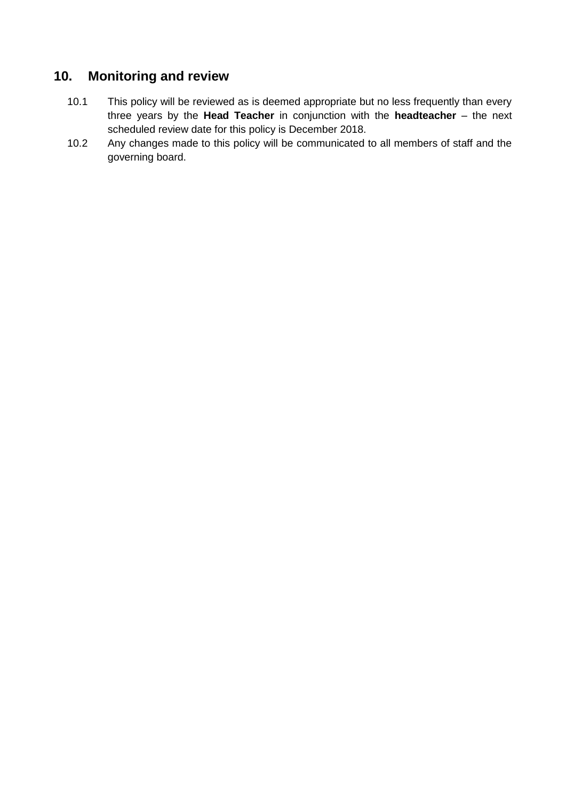### **10. Monitoring and review**

- 10.1 This policy will be reviewed as is deemed appropriate but no less frequently than every three years by the **Head Teacher** in conjunction with the **headteacher** – the next scheduled review date for this policy is December 2018.
- 10.2 Any changes made to this policy will be communicated to all members of staff and the governing board.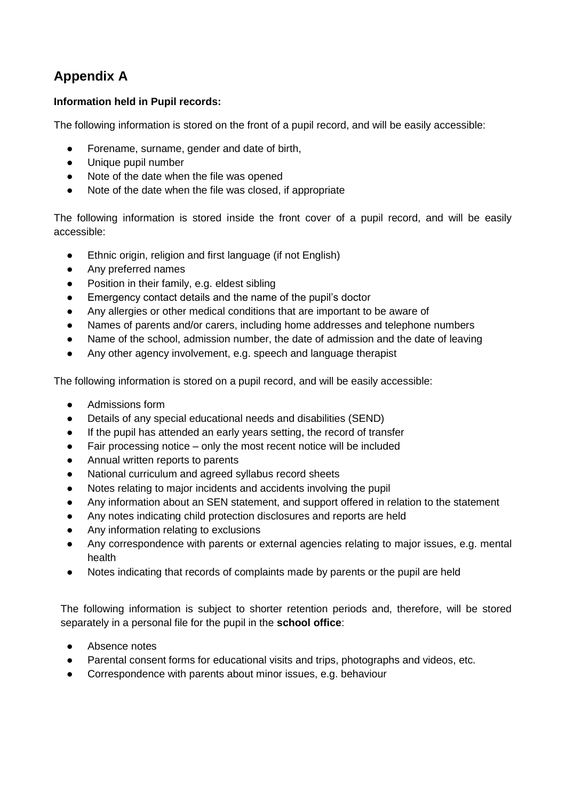# **Appendix A**

#### **Information held in Pupil records:**

The following information is stored on the front of a pupil record, and will be easily accessible:

- Forename, surname, gender and date of birth,
- Unique pupil number
- Note of the date when the file was opened
- Note of the date when the file was closed, if appropriate

The following information is stored inside the front cover of a pupil record, and will be easily accessible:

- Ethnic origin, religion and first language (if not English)
- Any preferred names
- Position in their family, e.g. eldest sibling
- Emergency contact details and the name of the pupil's doctor
- Any allergies or other medical conditions that are important to be aware of
- Names of parents and/or carers, including home addresses and telephone numbers
- Name of the school, admission number, the date of admission and the date of leaving
- Any other agency involvement, e.g. speech and language therapist

The following information is stored on a pupil record, and will be easily accessible:

- Admissions form
- Details of any special educational needs and disabilities (SEND)
- If the pupil has attended an early years setting, the record of transfer
- Fair processing notice only the most recent notice will be included
- Annual written reports to parents
- National curriculum and agreed syllabus record sheets
- Notes relating to major incidents and accidents involving the pupil
- Any information about an SEN statement, and support offered in relation to the statement
- Any notes indicating child protection disclosures and reports are held
- Any information relating to exclusions
- Any correspondence with parents or external agencies relating to major issues, e.g. mental health
- Notes indicating that records of complaints made by parents or the pupil are held

The following information is subject to shorter retention periods and, therefore, will be stored separately in a personal file for the pupil in the **school office**:

- Absence notes
- Parental consent forms for educational visits and trips, photographs and videos, etc.
- Correspondence with parents about minor issues, e.g. behaviour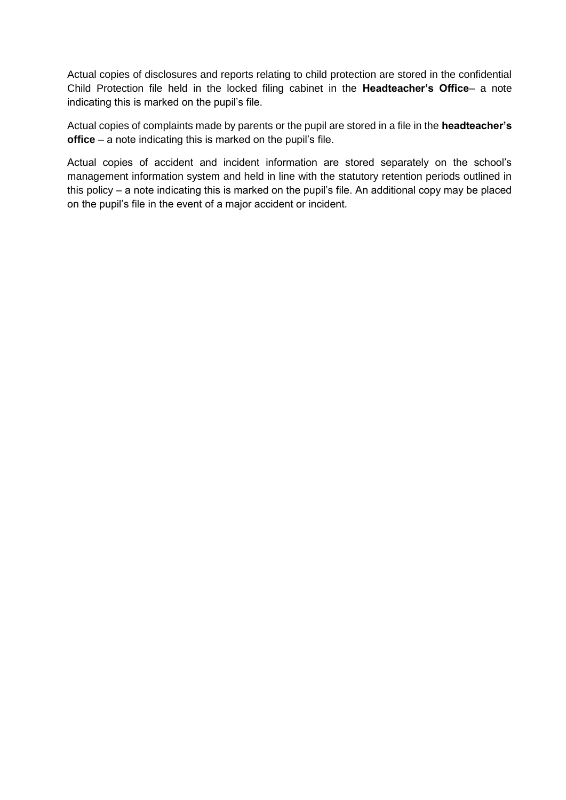Actual copies of disclosures and reports relating to child protection are stored in the confidential Child Protection file held in the locked filing cabinet in the **Headteacher's Office**– a note indicating this is marked on the pupil's file.

Actual copies of complaints made by parents or the pupil are stored in a file in the **headteacher's office** – a note indicating this is marked on the pupil's file.

Actual copies of accident and incident information are stored separately on the school's management information system and held in line with the statutory retention periods outlined in this policy – a note indicating this is marked on the pupil's file. An additional copy may be placed on the pupil's file in the event of a major accident or incident.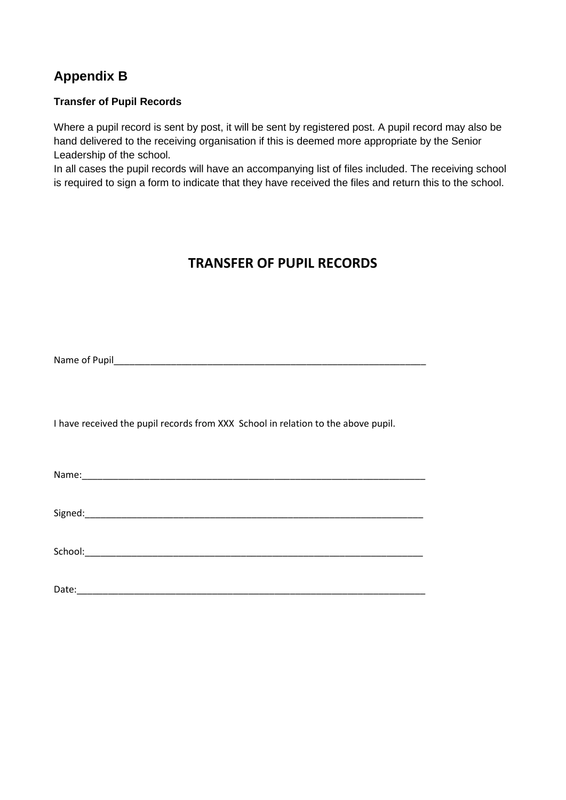# **Appendix B**

#### **Transfer of Pupil Records**

Where a pupil record is sent by post, it will be sent by registered post. A pupil record may also be hand delivered to the receiving organisation if this is deemed more appropriate by the Senior Leadership of the school.

In all cases the pupil records will have an accompanying list of files included. The receiving school is required to sign a form to indicate that they have received the files and return this to the school.

## **TRANSFER OF PUPIL RECORDS**

Name of Pupil

I have received the pupil records from XXX School in relation to the above pupil.

Name:

Signed:\_\_\_\_\_\_\_\_\_\_\_\_\_\_\_\_\_\_\_\_\_\_\_\_\_\_\_\_\_\_\_\_\_\_\_\_\_\_\_\_\_\_\_\_\_\_\_\_\_\_\_\_\_\_\_\_\_\_\_\_\_\_\_\_\_

School:\_\_\_\_\_\_\_\_\_\_\_\_\_\_\_\_\_\_\_\_\_\_\_\_\_\_\_\_\_\_\_\_\_\_\_\_\_\_\_\_\_\_\_\_\_\_\_\_\_\_\_\_\_\_\_\_\_\_\_\_\_\_\_\_\_

Date:\_\_\_\_\_\_\_\_\_\_\_\_\_\_\_\_\_\_\_\_\_\_\_\_\_\_\_\_\_\_\_\_\_\_\_\_\_\_\_\_\_\_\_\_\_\_\_\_\_\_\_\_\_\_\_\_\_\_\_\_\_\_\_\_\_\_\_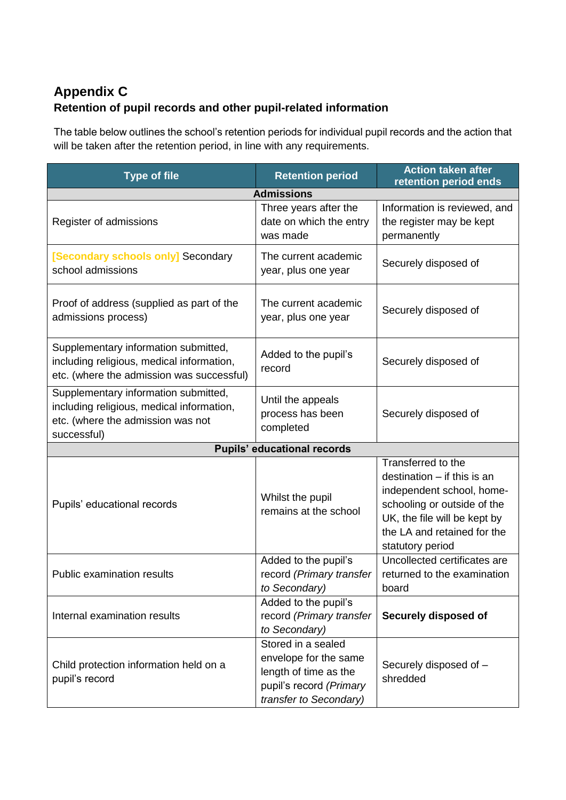# **Appendix C Retention of pupil records and other pupil-related information**

The table below outlines the school's retention periods for individual pupil records and the action that will be taken after the retention period, in line with any requirements.

| <b>Type of file</b>                                                                                                                   | <b>Retention period</b>                                                                                                   | <b>Action taken after</b><br>retention period ends                                                                                                                                                 |  |  |  |
|---------------------------------------------------------------------------------------------------------------------------------------|---------------------------------------------------------------------------------------------------------------------------|----------------------------------------------------------------------------------------------------------------------------------------------------------------------------------------------------|--|--|--|
| <b>Admissions</b>                                                                                                                     |                                                                                                                           |                                                                                                                                                                                                    |  |  |  |
| Register of admissions                                                                                                                | Three years after the<br>date on which the entry<br>was made                                                              | Information is reviewed, and<br>the register may be kept<br>permanently                                                                                                                            |  |  |  |
| [Secondary schools only] Secondary<br>school admissions                                                                               | The current academic<br>year, plus one year                                                                               | Securely disposed of                                                                                                                                                                               |  |  |  |
| Proof of address (supplied as part of the<br>admissions process)                                                                      | The current academic<br>year, plus one year                                                                               | Securely disposed of                                                                                                                                                                               |  |  |  |
| Supplementary information submitted,<br>including religious, medical information,<br>etc. (where the admission was successful)        | Added to the pupil's<br>record                                                                                            | Securely disposed of                                                                                                                                                                               |  |  |  |
| Supplementary information submitted,<br>including religious, medical information,<br>etc. (where the admission was not<br>successful) | Until the appeals<br>process has been<br>completed                                                                        | Securely disposed of                                                                                                                                                                               |  |  |  |
|                                                                                                                                       | <b>Pupils' educational records</b>                                                                                        |                                                                                                                                                                                                    |  |  |  |
| Pupils' educational records                                                                                                           | Whilst the pupil<br>remains at the school                                                                                 | Transferred to the<br>destination $-$ if this is an<br>independent school, home-<br>schooling or outside of the<br>UK, the file will be kept by<br>the LA and retained for the<br>statutory period |  |  |  |
| <b>Public examination results</b>                                                                                                     | Added to the pupil's<br>record (Primary transfer<br>to Secondary)                                                         | Uncollected certificates are<br>returned to the examination<br>board                                                                                                                               |  |  |  |
| Internal examination results                                                                                                          | Added to the pupil's<br>record (Primary transfer<br>to Secondary)                                                         | Securely disposed of                                                                                                                                                                               |  |  |  |
| Child protection information held on a<br>pupil's record                                                                              | Stored in a sealed<br>envelope for the same<br>length of time as the<br>pupil's record (Primary<br>transfer to Secondary) | Securely disposed of -<br>shredded                                                                                                                                                                 |  |  |  |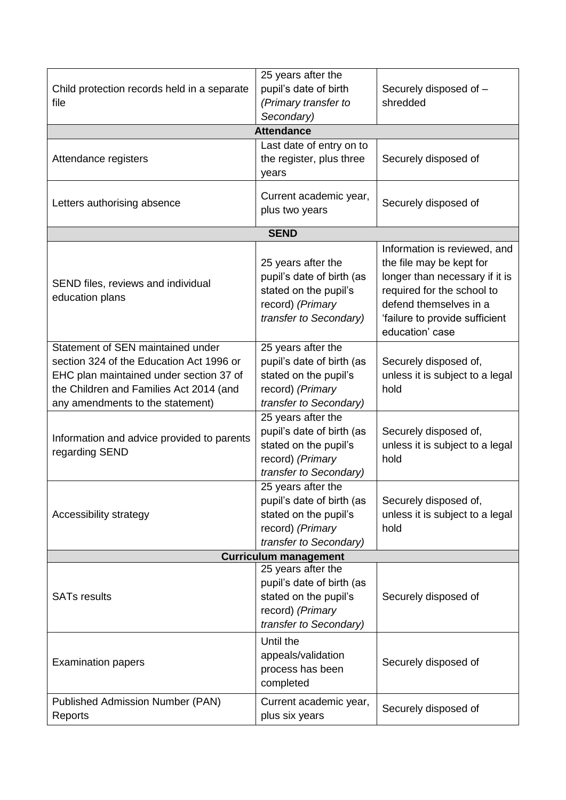| Child protection records held in a separate<br>file                                                                                                                                                     | 25 years after the<br>pupil's date of birth<br>(Primary transfer to<br>Secondary)                                      | Securely disposed of -<br>shredded                                                                                                                                                                      |
|---------------------------------------------------------------------------------------------------------------------------------------------------------------------------------------------------------|------------------------------------------------------------------------------------------------------------------------|---------------------------------------------------------------------------------------------------------------------------------------------------------------------------------------------------------|
|                                                                                                                                                                                                         | <b>Attendance</b>                                                                                                      |                                                                                                                                                                                                         |
| Attendance registers                                                                                                                                                                                    | Last date of entry on to<br>the register, plus three<br>years                                                          | Securely disposed of                                                                                                                                                                                    |
| Letters authorising absence                                                                                                                                                                             | Current academic year,<br>plus two years                                                                               | Securely disposed of                                                                                                                                                                                    |
|                                                                                                                                                                                                         | <b>SEND</b>                                                                                                            |                                                                                                                                                                                                         |
| SEND files, reviews and individual<br>education plans                                                                                                                                                   | 25 years after the<br>pupil's date of birth (as<br>stated on the pupil's<br>record) (Primary<br>transfer to Secondary) | Information is reviewed, and<br>the file may be kept for<br>longer than necessary if it is<br>required for the school to<br>defend themselves in a<br>'failure to provide sufficient<br>education' case |
| Statement of SEN maintained under<br>section 324 of the Education Act 1996 or<br>EHC plan maintained under section 37 of<br>the Children and Families Act 2014 (and<br>any amendments to the statement) | 25 years after the<br>pupil's date of birth (as<br>stated on the pupil's<br>record) (Primary<br>transfer to Secondary) | Securely disposed of,<br>unless it is subject to a legal<br>hold                                                                                                                                        |
| Information and advice provided to parents<br>regarding SEND                                                                                                                                            | 25 years after the<br>pupil's date of birth (as<br>stated on the pupil's<br>record) (Primary<br>transfer to Secondary) | Securely disposed of,<br>unless it is subject to a legal<br>hold                                                                                                                                        |
| Accessibility strategy                                                                                                                                                                                  | 25 years after the<br>pupil's date of birth (as<br>stated on the pupil's<br>record) (Primary<br>transfer to Secondary) | Securely disposed of,<br>unless it is subject to a legal<br>hold                                                                                                                                        |
|                                                                                                                                                                                                         | <b>Curriculum management</b>                                                                                           |                                                                                                                                                                                                         |
| <b>SATs results</b>                                                                                                                                                                                     | 25 years after the<br>pupil's date of birth (as<br>stated on the pupil's<br>record) (Primary<br>transfer to Secondary) | Securely disposed of                                                                                                                                                                                    |
| <b>Examination papers</b>                                                                                                                                                                               | Until the<br>appeals/validation<br>process has been<br>completed                                                       | Securely disposed of                                                                                                                                                                                    |
| <b>Published Admission Number (PAN)</b><br>Reports                                                                                                                                                      | Current academic year,<br>plus six years                                                                               | Securely disposed of                                                                                                                                                                                    |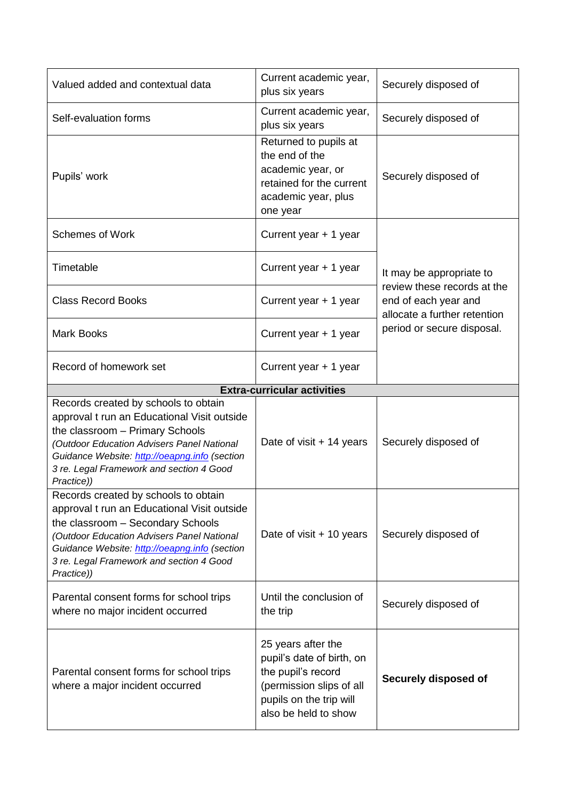| Valued added and contextual data                                                                                                                                                                                                                                                  | Current academic year,<br>plus six years                                                                                                             | Securely disposed of                                                                |  |
|-----------------------------------------------------------------------------------------------------------------------------------------------------------------------------------------------------------------------------------------------------------------------------------|------------------------------------------------------------------------------------------------------------------------------------------------------|-------------------------------------------------------------------------------------|--|
| Self-evaluation forms                                                                                                                                                                                                                                                             | Current academic year,<br>plus six years                                                                                                             | Securely disposed of                                                                |  |
| Pupils' work                                                                                                                                                                                                                                                                      | Returned to pupils at<br>the end of the<br>academic year, or<br>retained for the current<br>academic year, plus<br>one year                          | Securely disposed of                                                                |  |
| <b>Schemes of Work</b>                                                                                                                                                                                                                                                            | Current year + 1 year                                                                                                                                |                                                                                     |  |
| Timetable                                                                                                                                                                                                                                                                         | Current year + 1 year                                                                                                                                | It may be appropriate to                                                            |  |
| <b>Class Record Books</b>                                                                                                                                                                                                                                                         | Current year + 1 year                                                                                                                                | review these records at the<br>end of each year and<br>allocate a further retention |  |
| <b>Mark Books</b>                                                                                                                                                                                                                                                                 | Current year + 1 year                                                                                                                                | period or secure disposal.                                                          |  |
| Record of homework set                                                                                                                                                                                                                                                            | Current year + 1 year                                                                                                                                |                                                                                     |  |
|                                                                                                                                                                                                                                                                                   | <b>Extra-curricular activities</b>                                                                                                                   |                                                                                     |  |
| Records created by schools to obtain<br>approval t run an Educational Visit outside<br>the classroom - Primary Schools<br>(Outdoor Education Advisers Panel National<br>Guidance Website: http://oeapng.info (section<br>3 re. Legal Framework and section 4 Good<br>Practice))   | Date of visit $+14$ years                                                                                                                            | Securely disposed of                                                                |  |
| Records created by schools to obtain<br>approval t run an Educational Visit outside<br>the classroom - Secondary Schools<br>(Outdoor Education Advisers Panel National<br>Guidance Website: http://oeapng.info (section<br>3 re. Legal Framework and section 4 Good<br>Practice)) | Date of visit + 10 years                                                                                                                             | Securely disposed of                                                                |  |
| Parental consent forms for school trips<br>where no major incident occurred                                                                                                                                                                                                       | Until the conclusion of<br>the trip                                                                                                                  | Securely disposed of                                                                |  |
| Parental consent forms for school trips<br>where a major incident occurred                                                                                                                                                                                                        | 25 years after the<br>pupil's date of birth, on<br>the pupil's record<br>(permission slips of all<br>pupils on the trip will<br>also be held to show | Securely disposed of                                                                |  |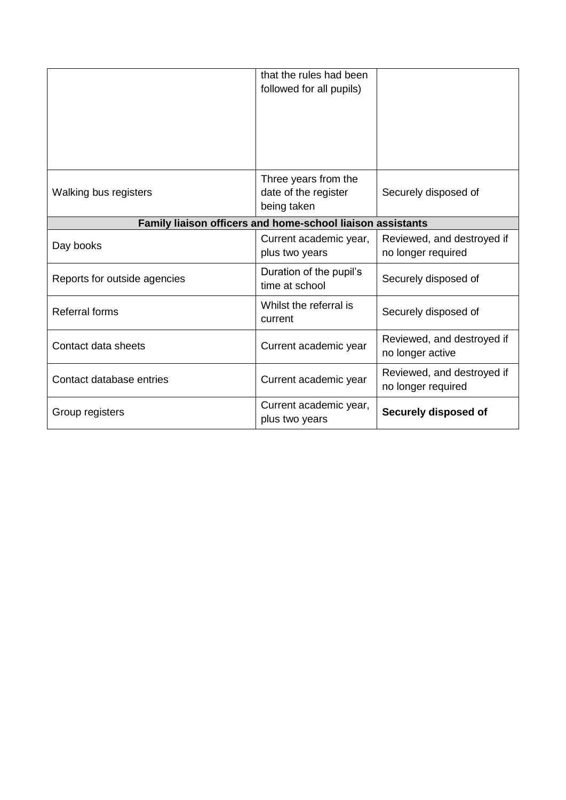<span id="page-16-0"></span>

|                              | that the rules had been<br>followed for all pupils)         |                                                  |
|------------------------------|-------------------------------------------------------------|--------------------------------------------------|
| Walking bus registers        | Three years from the<br>date of the register<br>being taken | Securely disposed of                             |
|                              | Family liaison officers and home-school liaison assistants  |                                                  |
| Day books                    | Current academic year,<br>plus two years                    | Reviewed, and destroyed if<br>no longer required |
| Reports for outside agencies | Duration of the pupil's<br>time at school                   | Securely disposed of                             |
| <b>Referral forms</b>        | Whilst the referral is<br>current                           | Securely disposed of                             |
| Contact data sheets          | Current academic year                                       | Reviewed, and destroyed if<br>no longer active   |
| Contact database entries     | Current academic year                                       | Reviewed, and destroyed if<br>no longer required |
| Group registers              | Current academic year,<br>plus two years                    | Securely disposed of                             |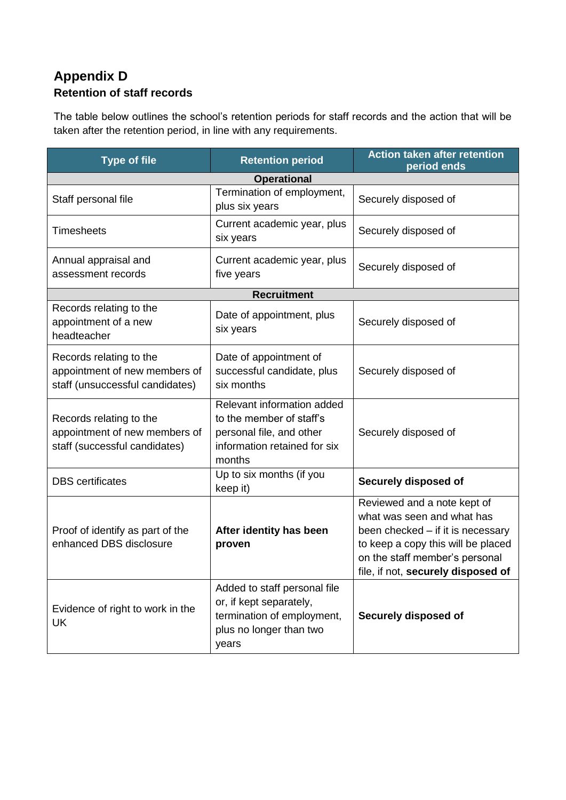### **Appendix D Retention of staff records**

The table below outlines the school's retention periods for staff records and the action that will be taken after the retention period, in line with any requirements.

| <b>Type of file</b>                                                                         | <b>Retention period</b>                                                                                                      | <b>Action taken after retention</b><br>period ends                                                                                                                                                           |
|---------------------------------------------------------------------------------------------|------------------------------------------------------------------------------------------------------------------------------|--------------------------------------------------------------------------------------------------------------------------------------------------------------------------------------------------------------|
|                                                                                             | <b>Operational</b>                                                                                                           |                                                                                                                                                                                                              |
| Staff personal file                                                                         | Termination of employment,<br>plus six years                                                                                 | Securely disposed of                                                                                                                                                                                         |
| <b>Timesheets</b>                                                                           | Current academic year, plus<br>six years                                                                                     | Securely disposed of                                                                                                                                                                                         |
| Annual appraisal and<br>assessment records                                                  | Current academic year, plus<br>five years                                                                                    | Securely disposed of                                                                                                                                                                                         |
|                                                                                             | <b>Recruitment</b>                                                                                                           |                                                                                                                                                                                                              |
| Records relating to the<br>appointment of a new<br>headteacher                              | Date of appointment, plus<br>six years                                                                                       | Securely disposed of                                                                                                                                                                                         |
| Records relating to the<br>appointment of new members of<br>staff (unsuccessful candidates) | Date of appointment of<br>successful candidate, plus<br>six months                                                           | Securely disposed of                                                                                                                                                                                         |
| Records relating to the<br>appointment of new members of<br>staff (successful candidates)   | Relevant information added<br>to the member of staff's<br>personal file, and other<br>information retained for six<br>months | Securely disposed of                                                                                                                                                                                         |
| <b>DBS</b> certificates                                                                     | Up to six months (if you<br>keep it)                                                                                         | Securely disposed of                                                                                                                                                                                         |
| Proof of identify as part of the<br>enhanced DBS disclosure                                 | After identity has been<br>proven                                                                                            | Reviewed and a note kept of<br>what was seen and what has<br>been checked - if it is necessary<br>to keep a copy this will be placed<br>on the staff member's personal<br>file, if not, securely disposed of |
| Evidence of right to work in the<br>UK                                                      | Added to staff personal file<br>or, if kept separately,<br>termination of employment,<br>plus no longer than two<br>years    | Securely disposed of                                                                                                                                                                                         |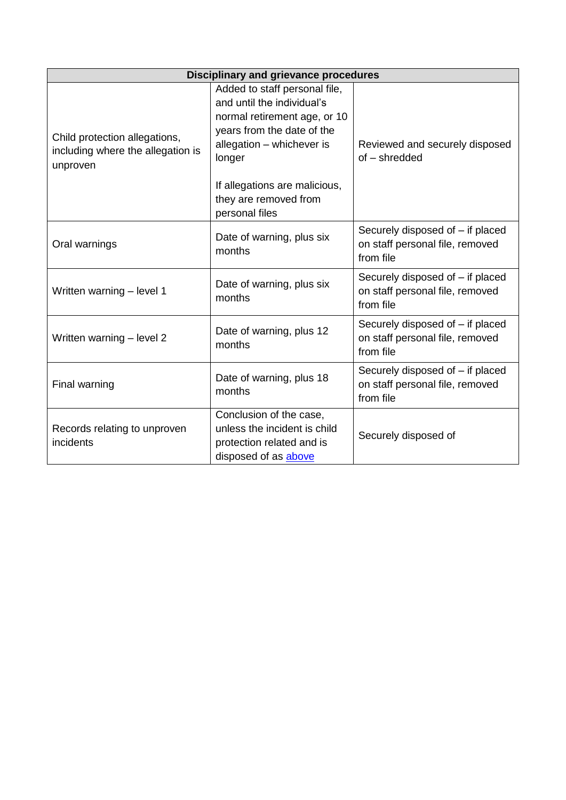<span id="page-18-1"></span><span id="page-18-0"></span>

| <b>Disciplinary and grievance procedures</b>                                   |                                                                                                                                                                  |                                                                                  |  |  |
|--------------------------------------------------------------------------------|------------------------------------------------------------------------------------------------------------------------------------------------------------------|----------------------------------------------------------------------------------|--|--|
| Child protection allegations,<br>including where the allegation is<br>unproven | Added to staff personal file,<br>and until the individual's<br>normal retirement age, or 10<br>years from the date of the<br>allegation - whichever is<br>longer | Reviewed and securely disposed<br>of - shredded                                  |  |  |
|                                                                                | If allegations are malicious,<br>they are removed from<br>personal files                                                                                         |                                                                                  |  |  |
| Oral warnings                                                                  | Date of warning, plus six<br>months                                                                                                                              | Securely disposed of – if placed<br>on staff personal file, removed<br>from file |  |  |
| Written warning - level 1                                                      | Date of warning, plus six<br>months                                                                                                                              | Securely disposed of - if placed<br>on staff personal file, removed<br>from file |  |  |
| Written warning - level 2                                                      | Date of warning, plus 12<br>months                                                                                                                               | Securely disposed of - if placed<br>on staff personal file, removed<br>from file |  |  |
| Final warning                                                                  | Date of warning, plus 18<br>months                                                                                                                               | Securely disposed of - if placed<br>on staff personal file, removed<br>from file |  |  |
| Records relating to unproven<br>incidents                                      | Conclusion of the case,<br>unless the incident is child<br>protection related and is<br>disposed of as above                                                     | Securely disposed of                                                             |  |  |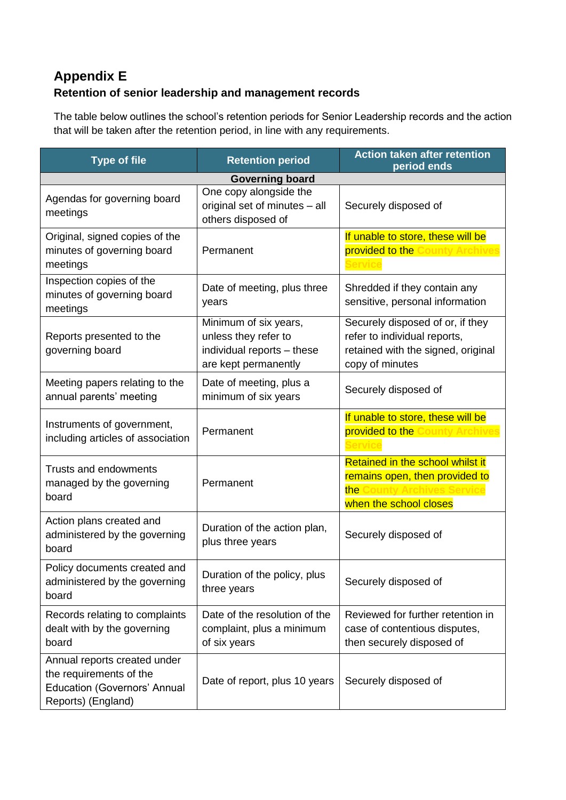# **Appendix E Retention of senior leadership and management records**

The table below outlines the school's retention periods for Senior Leadership records and the action that will be taken after the retention period, in line with any requirements.

| <b>Type of file</b><br><b>Retention period</b>                     |                                                                               | <b>Action taken after retention</b><br>period ends              |  |  |  |
|--------------------------------------------------------------------|-------------------------------------------------------------------------------|-----------------------------------------------------------------|--|--|--|
| <b>Governing board</b>                                             |                                                                               |                                                                 |  |  |  |
| Agendas for governing board<br>meetings                            | One copy alongside the<br>original set of minutes - all<br>others disposed of | Securely disposed of                                            |  |  |  |
| Original, signed copies of the                                     |                                                                               | If unable to store, these will be                               |  |  |  |
| minutes of governing board                                         | Permanent                                                                     | provided to the County Archives                                 |  |  |  |
| meetings                                                           |                                                                               |                                                                 |  |  |  |
| Inspection copies of the<br>minutes of governing board<br>meetings | Date of meeting, plus three<br>years                                          | Shredded if they contain any<br>sensitive, personal information |  |  |  |
|                                                                    | Minimum of six years,                                                         | Securely disposed of or, if they                                |  |  |  |
| Reports presented to the                                           | unless they refer to                                                          | refer to individual reports,                                    |  |  |  |
| governing board                                                    | individual reports - these                                                    | retained with the signed, original                              |  |  |  |
|                                                                    | are kept permanently                                                          | copy of minutes                                                 |  |  |  |
| Meeting papers relating to the<br>annual parents' meeting          | Date of meeting, plus a<br>minimum of six years                               | Securely disposed of                                            |  |  |  |
|                                                                    |                                                                               | If unable to store, these will be                               |  |  |  |
| Instruments of government,                                         | Permanent                                                                     | provided to the County Archives                                 |  |  |  |
| including articles of association                                  |                                                                               |                                                                 |  |  |  |
| <b>Trusts and endowments</b>                                       |                                                                               | Retained in the school whilst it                                |  |  |  |
| managed by the governing                                           | Permanent                                                                     | remains open, then provided to                                  |  |  |  |
| board                                                              |                                                                               | the County Archives Se                                          |  |  |  |
|                                                                    |                                                                               | when the school closes                                          |  |  |  |
| Action plans created and<br>administered by the governing<br>board | Duration of the action plan,<br>plus three years                              | Securely disposed of                                            |  |  |  |
| Policy documents created and                                       | Duration of the policy, plus                                                  |                                                                 |  |  |  |
| administered by the governing                                      | three years                                                                   | Securely disposed of                                            |  |  |  |
| board                                                              |                                                                               |                                                                 |  |  |  |
| Records relating to complaints                                     | Date of the resolution of the                                                 | Reviewed for further retention in                               |  |  |  |
| dealt with by the governing                                        | complaint, plus a minimum                                                     | case of contentious disputes,                                   |  |  |  |
| board                                                              | of six years                                                                  | then securely disposed of                                       |  |  |  |
| Annual reports created under                                       |                                                                               |                                                                 |  |  |  |
| the requirements of the                                            | Date of report, plus 10 years                                                 | Securely disposed of                                            |  |  |  |
| <b>Education (Governors' Annual</b>                                |                                                                               |                                                                 |  |  |  |
| Reports) (England)                                                 |                                                                               |                                                                 |  |  |  |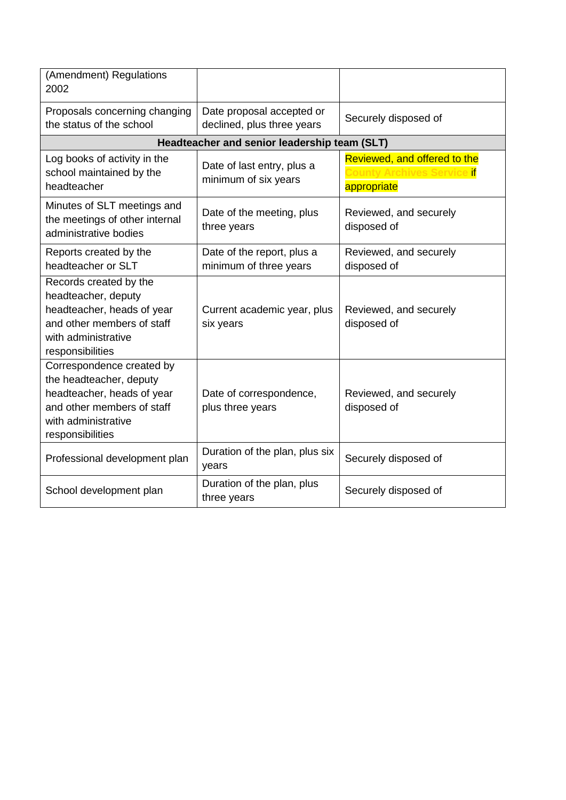<span id="page-20-0"></span>

| (Amendment) Regulations<br>2002                                                                                                                             |                                                         |                                                                                   |
|-------------------------------------------------------------------------------------------------------------------------------------------------------------|---------------------------------------------------------|-----------------------------------------------------------------------------------|
| Proposals concerning changing<br>the status of the school                                                                                                   | Date proposal accepted or<br>declined, plus three years | Securely disposed of                                                              |
|                                                                                                                                                             | Headteacher and senior leadership team (SLT)            |                                                                                   |
| Log books of activity in the<br>school maintained by the<br>headteacher                                                                                     | Date of last entry, plus a<br>minimum of six years      | Reviewed, and offered to the<br>y Archives Service <mark>if</mark><br>appropriate |
| Minutes of SLT meetings and<br>the meetings of other internal<br>administrative bodies                                                                      | Date of the meeting, plus<br>three years                | Reviewed, and securely<br>disposed of                                             |
| Reports created by the<br>headteacher or SLT                                                                                                                | Date of the report, plus a<br>minimum of three years    | Reviewed, and securely<br>disposed of                                             |
| Records created by the<br>headteacher, deputy<br>headteacher, heads of year<br>and other members of staff<br>with administrative<br>responsibilities        | Current academic year, plus<br>six years                | Reviewed, and securely<br>disposed of                                             |
| Correspondence created by<br>the headteacher, deputy<br>headteacher, heads of year<br>and other members of staff<br>with administrative<br>responsibilities | Date of correspondence,<br>plus three years             | Reviewed, and securely<br>disposed of                                             |
| Professional development plan                                                                                                                               | Duration of the plan, plus six<br>years                 | Securely disposed of                                                              |
| School development plan                                                                                                                                     | Duration of the plan, plus<br>three years               | Securely disposed of                                                              |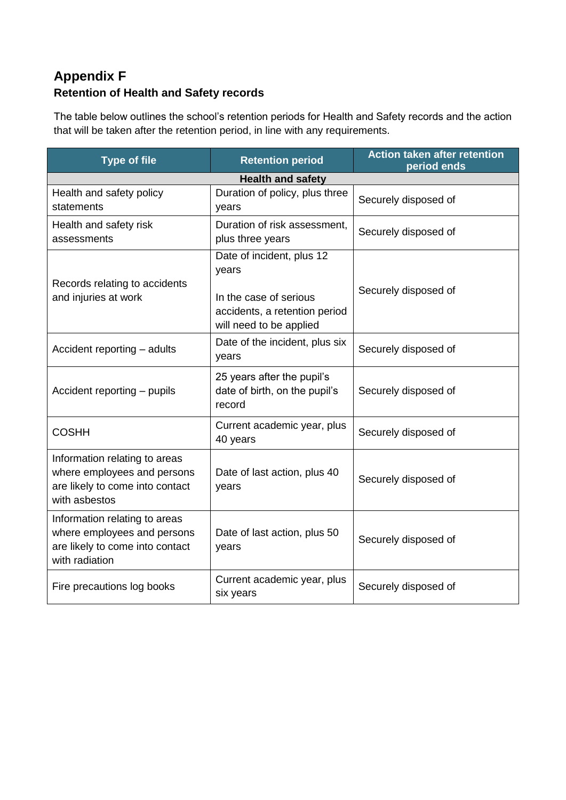# **Appendix F Retention of Health and Safety records**

The table below outlines the school's retention periods for Health and Safety records and the action that will be taken after the retention period, in line with any requirements.

<span id="page-21-0"></span>

| <b>Type of file</b>                                                                                               | <b>Retention period</b>                                                                                                  | <b>Action taken after retention</b><br>period ends |  |  |  |  |
|-------------------------------------------------------------------------------------------------------------------|--------------------------------------------------------------------------------------------------------------------------|----------------------------------------------------|--|--|--|--|
| <b>Health and safety</b>                                                                                          |                                                                                                                          |                                                    |  |  |  |  |
| Health and safety policy<br>statements                                                                            | Duration of policy, plus three<br>years                                                                                  | Securely disposed of                               |  |  |  |  |
| Health and safety risk<br>assessments                                                                             | Duration of risk assessment,<br>plus three years                                                                         | Securely disposed of                               |  |  |  |  |
| Records relating to accidents<br>and injuries at work                                                             | Date of incident, plus 12<br>years<br>In the case of serious<br>accidents, a retention period<br>will need to be applied | Securely disposed of                               |  |  |  |  |
| Accident reporting - adults                                                                                       | Date of the incident, plus six<br>years                                                                                  | Securely disposed of                               |  |  |  |  |
| Accident reporting - pupils                                                                                       | 25 years after the pupil's<br>date of birth, on the pupil's<br>record                                                    | Securely disposed of                               |  |  |  |  |
| <b>COSHH</b>                                                                                                      | Current academic year, plus<br>40 years                                                                                  | Securely disposed of                               |  |  |  |  |
| Information relating to areas<br>where employees and persons<br>are likely to come into contact<br>with asbestos  | Date of last action, plus 40<br>years                                                                                    | Securely disposed of                               |  |  |  |  |
| Information relating to areas<br>where employees and persons<br>are likely to come into contact<br>with radiation | Date of last action, plus 50<br>years                                                                                    | Securely disposed of                               |  |  |  |  |
| Fire precautions log books                                                                                        | Current academic year, plus<br>six years                                                                                 | Securely disposed of                               |  |  |  |  |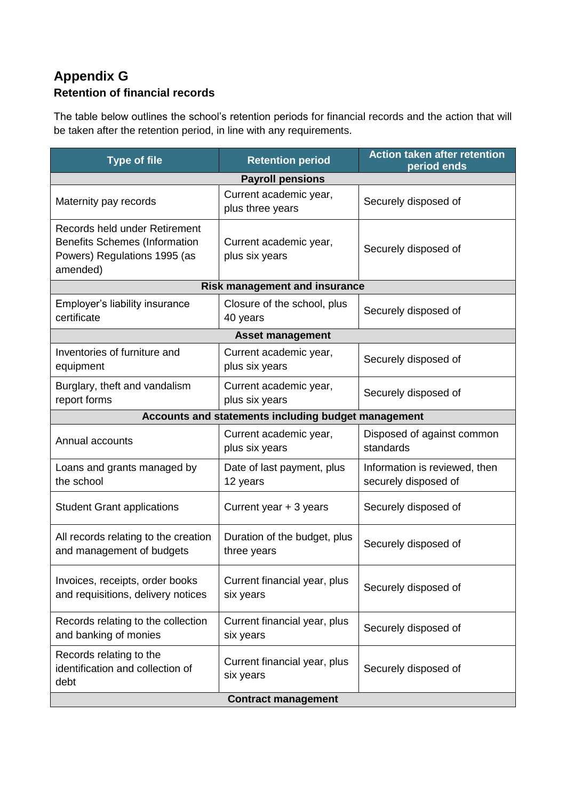## **Appendix G Retention of financial records**

The table below outlines the school's retention periods for financial records and the action that will be taken after the retention period, in line with any requirements.

| <b>Type of file</b>                                                                                               | <b>Retention period</b>                     | <b>Action taken after retention</b><br>period ends    |  |  |  |
|-------------------------------------------------------------------------------------------------------------------|---------------------------------------------|-------------------------------------------------------|--|--|--|
|                                                                                                                   | <b>Payroll pensions</b>                     |                                                       |  |  |  |
| Maternity pay records                                                                                             | Current academic year,<br>plus three years  | Securely disposed of                                  |  |  |  |
| Records held under Retirement<br><b>Benefits Schemes (Information</b><br>Powers) Regulations 1995 (as<br>amended) | Current academic year,<br>plus six years    | Securely disposed of                                  |  |  |  |
|                                                                                                                   | <b>Risk management and insurance</b>        |                                                       |  |  |  |
| Employer's liability insurance<br>certificate                                                                     | Closure of the school, plus<br>40 years     | Securely disposed of                                  |  |  |  |
|                                                                                                                   | <b>Asset management</b>                     |                                                       |  |  |  |
| Inventories of furniture and<br>equipment                                                                         | Current academic year,<br>plus six years    | Securely disposed of                                  |  |  |  |
| Burglary, theft and vandalism<br>report forms                                                                     | Current academic year,<br>plus six years    | Securely disposed of                                  |  |  |  |
| Accounts and statements including budget management                                                               |                                             |                                                       |  |  |  |
| Annual accounts                                                                                                   | Current academic year,<br>plus six years    | Disposed of against common<br>standards               |  |  |  |
| Loans and grants managed by<br>the school                                                                         | Date of last payment, plus<br>12 years      | Information is reviewed, then<br>securely disposed of |  |  |  |
| <b>Student Grant applications</b>                                                                                 | Current year + 3 years                      | Securely disposed of                                  |  |  |  |
| All records relating to the creation<br>and management of budgets                                                 | Duration of the budget, plus<br>three years | Securely disposed of                                  |  |  |  |
| Invoices, receipts, order books<br>and requisitions, delivery notices                                             | Current financial year, plus<br>six years   | Securely disposed of                                  |  |  |  |
| Records relating to the collection<br>and banking of monies                                                       | Current financial year, plus<br>six years   | Securely disposed of                                  |  |  |  |
| Records relating to the<br>identification and collection of<br>debt                                               | Current financial year, plus<br>six years   | Securely disposed of                                  |  |  |  |
|                                                                                                                   | <b>Contract management</b>                  |                                                       |  |  |  |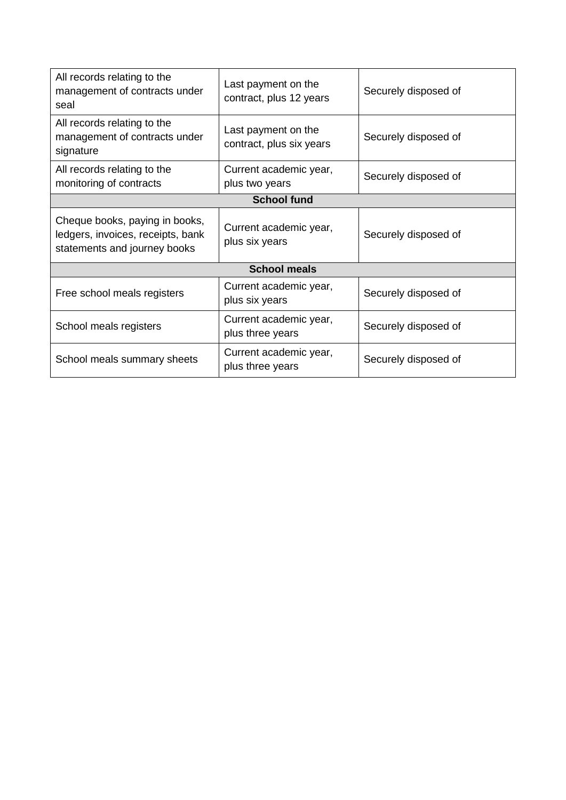<span id="page-23-0"></span>

| All records relating to the<br>management of contracts under<br>seal                                | Last payment on the<br>contract, plus 12 years  | Securely disposed of |  |
|-----------------------------------------------------------------------------------------------------|-------------------------------------------------|----------------------|--|
| All records relating to the<br>management of contracts under<br>signature                           | Last payment on the<br>contract, plus six years | Securely disposed of |  |
| All records relating to the<br>monitoring of contracts                                              | Current academic year,<br>plus two years        | Securely disposed of |  |
| <b>School fund</b>                                                                                  |                                                 |                      |  |
| Cheque books, paying in books,<br>ledgers, invoices, receipts, bank<br>statements and journey books | Current academic year,<br>plus six years        | Securely disposed of |  |
| <b>School meals</b>                                                                                 |                                                 |                      |  |
| Free school meals registers                                                                         | Current academic year,<br>plus six years        | Securely disposed of |  |
| School meals registers                                                                              | Current academic year,<br>plus three years      | Securely disposed of |  |
| School meals summary sheets                                                                         | Current academic year,<br>plus three years      | Securely disposed of |  |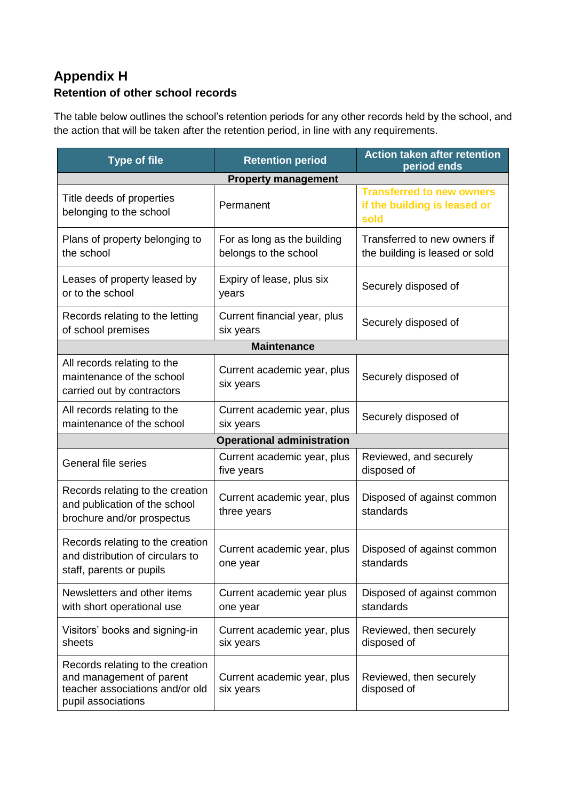## **Appendix H Retention of other school records**

The table below outlines the school's retention periods for any other records held by the school, and the action that will be taken after the retention period, in line with any requirements.

| <b>Type of file</b>                                                                                                   | <b>Retention period</b>                              | <b>Action taken after retention</b><br>period ends                       |  |
|-----------------------------------------------------------------------------------------------------------------------|------------------------------------------------------|--------------------------------------------------------------------------|--|
| <b>Property management</b>                                                                                            |                                                      |                                                                          |  |
| Title deeds of properties<br>belonging to the school                                                                  | Permanent                                            | <b>Transferred to new owners</b><br>if the building is leased or<br>sold |  |
| Plans of property belonging to<br>the school                                                                          | For as long as the building<br>belongs to the school | Transferred to new owners if<br>the building is leased or sold           |  |
| Leases of property leased by<br>or to the school                                                                      | Expiry of lease, plus six<br>years                   | Securely disposed of                                                     |  |
| Records relating to the letting<br>of school premises                                                                 | Current financial year, plus<br>six years            | Securely disposed of                                                     |  |
| <b>Maintenance</b>                                                                                                    |                                                      |                                                                          |  |
| All records relating to the<br>maintenance of the school<br>carried out by contractors                                | Current academic year, plus<br>six years             | Securely disposed of                                                     |  |
| All records relating to the<br>maintenance of the school                                                              | Current academic year, plus<br>six years             | Securely disposed of                                                     |  |
| <b>Operational administration</b>                                                                                     |                                                      |                                                                          |  |
| <b>General file series</b>                                                                                            | Current academic year, plus<br>five years            | Reviewed, and securely<br>disposed of                                    |  |
| Records relating to the creation<br>and publication of the school<br>brochure and/or prospectus                       | Current academic year, plus<br>three years           | Disposed of against common<br>standards                                  |  |
| Records relating to the creation<br>and distribution of circulars to<br>staff, parents or pupils                      | Current academic year, plus<br>one year              | Disposed of against common<br>standards                                  |  |
| Newsletters and other items<br>with short operational use                                                             | Current academic year plus<br>one year               | Disposed of against common<br>standards                                  |  |
| Visitors' books and signing-in<br>sheets                                                                              | Current academic year, plus<br>six years             | Reviewed, then securely<br>disposed of                                   |  |
| Records relating to the creation<br>and management of parent<br>teacher associations and/or old<br>pupil associations | Current academic year, plus<br>six years             | Reviewed, then securely<br>disposed of                                   |  |